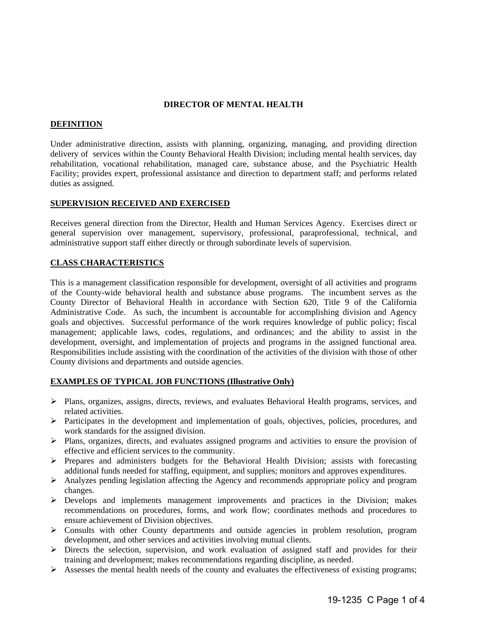## **DIRECTOR OF MENTAL HEALTH**

### **DEFINITION**

Under administrative direction, assists with planning, organizing, managing, and providing direction delivery of services within the County Behavioral Health Division; including mental health services, day rehabilitation, vocational rehabilitation, managed care, substance abuse, and the Psychiatric Health Facility; provides expert, professional assistance and direction to department staff; and performs related duties as assigned.

### **SUPERVISION RECEIVED AND EXERCISED**

Receives general direction from the Director, Health and Human Services Agency. Exercises direct or general supervision over management, supervisory, professional, paraprofessional, technical, and administrative support staff either directly or through subordinate levels of supervision.

# **CLASS CHARACTERISTICS**

This is a management classification responsible for development, oversight of all activities and programs of the County-wide behavioral health and substance abuse programs. The incumbent serves as the County Director of Behavioral Health in accordance with Section 620, Title 9 of the California Administrative Code. As such, the incumbent is accountable for accomplishing division and Agency goals and objectives. Successful performance of the work requires knowledge of public policy; fiscal management; applicable laws, codes, regulations, and ordinances; and the ability to assist in the development, oversight, and implementation of projects and programs in the assigned functional area. Responsibilities include assisting with the coordination of the activities of the division with those of other County divisions and departments and outside agencies.

### **EXAMPLES OF TYPICAL JOB FUNCTIONS (Illustrative Only)**

- $\triangleright$  Plans, organizes, assigns, directs, reviews, and evaluates Behavioral Health programs, services, and related activities.
- Participates in the development and implementation of goals, objectives, policies, procedures, and work standards for the assigned division.
- Plans, organizes, directs, and evaluates assigned programs and activities to ensure the provision of effective and efficient services to the community.
- Prepares and administers budgets for the Behavioral Health Division; assists with forecasting additional funds needed for staffing, equipment, and supplies; monitors and approves expenditures.
- Analyzes pending legislation affecting the Agency and recommends appropriate policy and program changes.
- $\triangleright$  Develops and implements management improvements and practices in the Division; makes recommendations on procedures, forms, and work flow; coordinates methods and procedures to ensure achievement of Division objectives.
- Consults with other County departments and outside agencies in problem resolution, program development, and other services and activities involving mutual clients.
- $\triangleright$  Directs the selection, supervision, and work evaluation of assigned staff and provides for their training and development; makes recommendations regarding discipline, as needed.
- $\triangleright$  Assesses the mental health needs of the county and evaluates the effectiveness of existing programs;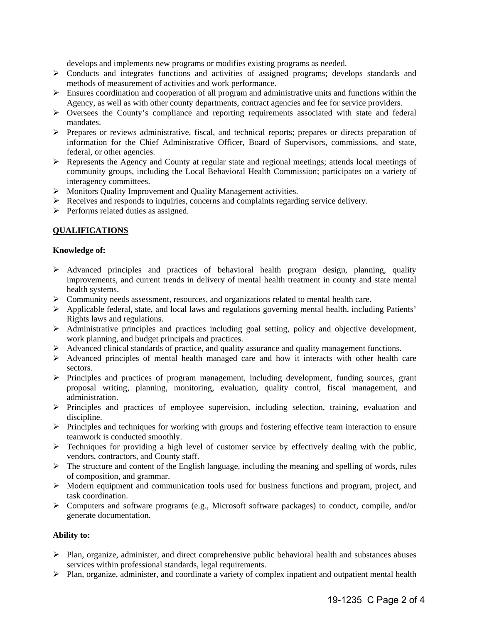develops and implements new programs or modifies existing programs as needed.

- Conducts and integrates functions and activities of assigned programs; develops standards and methods of measurement of activities and work performance.
- $\triangleright$  Ensures coordination and cooperation of all program and administrative units and functions within the Agency, as well as with other county departments, contract agencies and fee for service providers.
- Oversees the County's compliance and reporting requirements associated with state and federal mandates.
- $\triangleright$  Prepares or reviews administrative, fiscal, and technical reports; prepares or directs preparation of information for the Chief Administrative Officer, Board of Supervisors, commissions, and state, federal, or other agencies.
- Represents the Agency and County at regular state and regional meetings; attends local meetings of community groups, including the Local Behavioral Health Commission; participates on a variety of interagency committees.
- Monitors Quality Improvement and Quality Management activities.
- $\triangleright$  Receives and responds to inquiries, concerns and complaints regarding service delivery.
- $\triangleright$  Performs related duties as assigned.

# **QUALIFICATIONS**

### **Knowledge of:**

- $\triangleright$  Advanced principles and practices of behavioral health program design, planning, quality improvements, and current trends in delivery of mental health treatment in county and state mental health systems.
- $\triangleright$  Community needs assessment, resources, and organizations related to mental health care.
- $\triangleright$  Applicable federal, state, and local laws and regulations governing mental health, including Patients' Rights laws and regulations.
- Administrative principles and practices including goal setting, policy and objective development, work planning, and budget principals and practices.
- $\triangleright$  Advanced clinical standards of practice, and quality assurance and quality management functions.
- $\triangleright$  Advanced principles of mental health managed care and how it interacts with other health care sectors.
- Principles and practices of program management, including development, funding sources, grant proposal writing, planning, monitoring, evaluation, quality control, fiscal management, and administration.
- $\triangleright$  Principles and practices of employee supervision, including selection, training, evaluation and discipline.
- $\triangleright$  Principles and techniques for working with groups and fostering effective team interaction to ensure teamwork is conducted smoothly.
- $\triangleright$  Techniques for providing a high level of customer service by effectively dealing with the public, vendors, contractors, and County staff.
- $\triangleright$  The structure and content of the English language, including the meaning and spelling of words, rules of composition, and grammar.
- $\triangleright$  Modern equipment and communication tools used for business functions and program, project, and task coordination.
- Computers and software programs (e.g., Microsoft software packages) to conduct, compile, and/or generate documentation.

#### **Ability to:**

- $\triangleright$  Plan, organize, administer, and direct comprehensive public behavioral health and substances abuses services within professional standards, legal requirements.
- Plan, organize, administer, and coordinate a variety of complex inpatient and outpatient mental health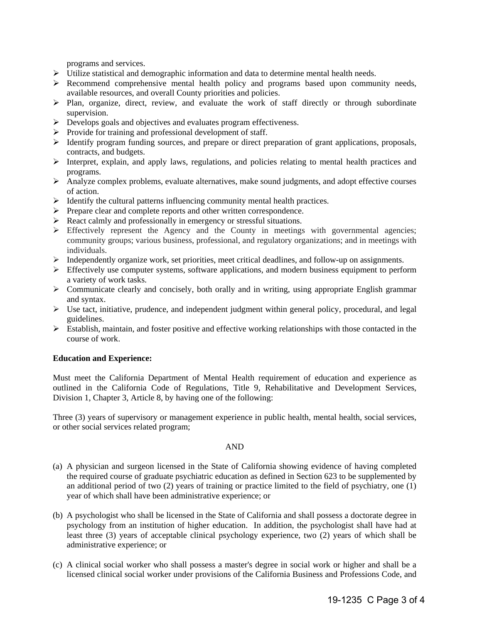programs and services.

- Utilize statistical and demographic information and data to determine mental health needs.
- $\triangleright$  Recommend comprehensive mental health policy and programs based upon community needs, available resources, and overall County priorities and policies.
- $\triangleright$  Plan, organize, direct, review, and evaluate the work of staff directly or through subordinate supervision.
- Develops goals and objectives and evaluates program effectiveness.
- $\triangleright$  Provide for training and professional development of staff.
- $\triangleright$  Identify program funding sources, and prepare or direct preparation of grant applications, proposals, contracts, and budgets.
- Interpret, explain, and apply laws, regulations, and policies relating to mental health practices and programs.
- $\triangleright$  Analyze complex problems, evaluate alternatives, make sound judgments, and adopt effective courses of action.
- $\triangleright$  Identify the cultural patterns influencing community mental health practices.
- Prepare clear and complete reports and other written correspondence.
- React calmly and professionally in emergency or stressful situations.
- $\triangleright$  Effectively represent the Agency and the County in meetings with governmental agencies; community groups; various business, professional, and regulatory organizations; and in meetings with individuals.
- $\triangleright$  Independently organize work, set priorities, meet critical deadlines, and follow-up on assignments.
- $\triangleright$  Effectively use computer systems, software applications, and modern business equipment to perform a variety of work tasks.
- Communicate clearly and concisely, both orally and in writing, using appropriate English grammar and syntax.
- Use tact, initiative, prudence, and independent judgment within general policy, procedural, and legal guidelines.
- $\triangleright$  Establish, maintain, and foster positive and effective working relationships with those contacted in the course of work.

#### **Education and Experience:**

Must meet the California Department of Mental Health requirement of education and experience as outlined in the California Code of Regulations, Title 9, Rehabilitative and Development Services, Division 1, Chapter 3, Article 8, by having one of the following:

Three (3) years of supervisory or management experience in public health, mental health, social services, or other social services related program;

#### AND

- (a) A physician and surgeon licensed in the State of California showing evidence of having completed the required course of graduate psychiatric education as defined in Section 623 to be supplemented by an additional period of two  $(2)$  years of training or practice limited to the field of psychiatry, one  $(1)$ year of which shall have been administrative experience; or
- (b) A psychologist who shall be licensed in the State of California and shall possess a doctorate degree in psychology from an institution of higher education. In addition, the psychologist shall have had at least three (3) years of acceptable clinical psychology experience, two (2) years of which shall be administrative experience; or
- (c) A clinical social worker who shall possess a master's degree in social work or higher and shall be a licensed clinical social worker under provisions of the California Business and Professions Code, and